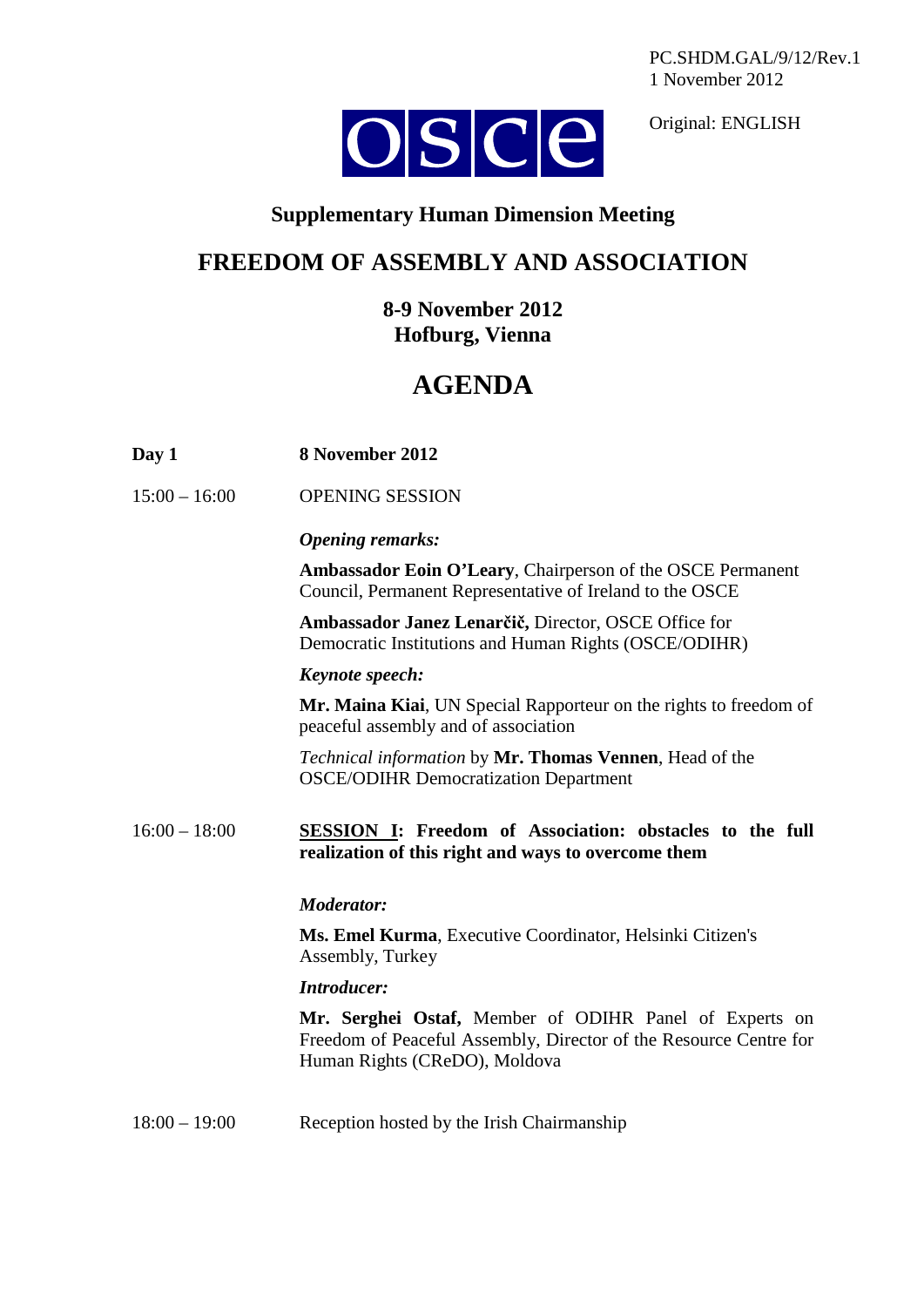PC.SHDM.GAL/9/12/Rev.1 1 November 2012



Original: ENGLISH

### **Supplementary Human Dimension Meeting**

## **FREEDOM OF ASSEMBLY AND ASSOCIATION**

**8-9 November 2012 Hofburg, Vienna**

# **AGENDA**

| Day 1 | 8 November 2012 |  |
|-------|-----------------|--|
|       |                 |  |

15:00 – 16:00 OPENING SESSION

#### *Opening remarks:*

**Ambassador Eoin O'Leary**, Chairperson of the OSCE Permanent Council, Permanent Representative of Ireland to the OSCE

**Ambassador Janez Lenarčič,** Director, OSCE Office for Democratic Institutions and Human Rights (OSCE/ODIHR)

#### *Keynote speech:*

**Mr. Maina Kiai**, UN Special Rapporteur on the rights to freedom of peaceful assembly and of association

*Technical information* by **Mr. Thomas Vennen**, Head of the OSCE/ODIHR Democratization Department

#### 16:00 – 18:00 **SESSION I: Freedom of Association: obstacles to the full realization of this right and ways to overcome them**

#### *Moderator:*

**Ms. Emel Kurma**, Executive Coordinator, Helsinki Citizen's Assembly, Turkey

#### *Introducer:*

**Mr. Serghei Ostaf,** Member of ODIHR Panel of Experts on Freedom of Peaceful Assembly, Director of the Resource Centre for Human Rights (CReDO), Moldova

18:00 – 19:00 Reception hosted by the Irish Chairmanship